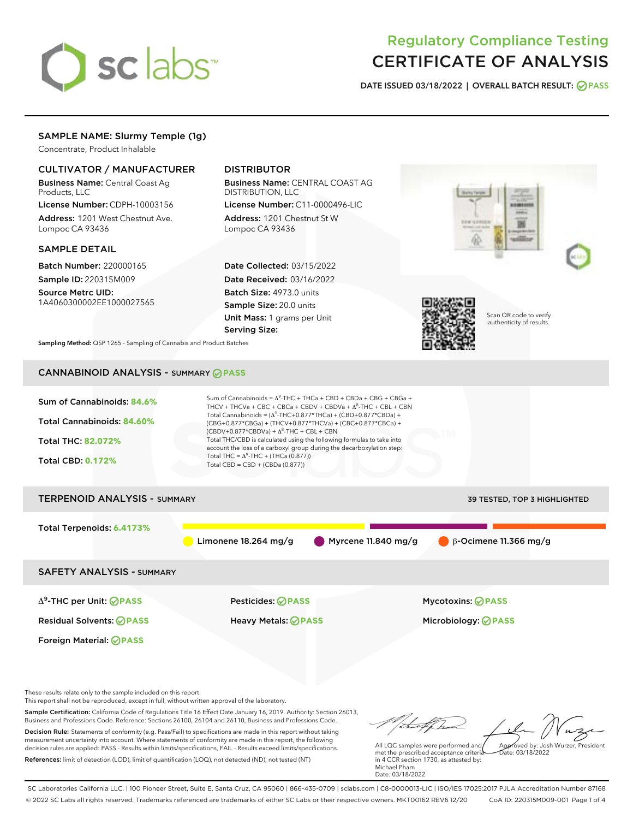# sclabs<sup>\*</sup>

# Regulatory Compliance Testing CERTIFICATE OF ANALYSIS

DATE ISSUED 03/18/2022 | OVERALL BATCH RESULT: @ PASS

# SAMPLE NAME: Slurmy Temple (1g)

Concentrate, Product Inhalable

# CULTIVATOR / MANUFACTURER

Business Name: Central Coast Ag Products, LLC

License Number: CDPH-10003156 Address: 1201 West Chestnut Ave. Lompoc CA 93436

#### SAMPLE DETAIL

Batch Number: 220000165 Sample ID: 220315M009

Source Metrc UID: 1A4060300002EE1000027565

# DISTRIBUTOR

Business Name: CENTRAL COAST AG DISTRIBUTION, LLC

License Number: C11-0000496-LIC Address: 1201 Chestnut St W Lompoc CA 93436

Date Collected: 03/15/2022 Date Received: 03/16/2022 Batch Size: 4973.0 units Sample Size: 20.0 units Unit Mass: 1 grams per Unit Serving Size:





Scan QR code to verify authenticity of results.

Sampling Method: QSP 1265 - Sampling of Cannabis and Product Batches

# CANNABINOID ANALYSIS - SUMMARY **PASS**



Sample Certification: California Code of Regulations Title 16 Effect Date January 16, 2019. Authority: Section 26013, Business and Professions Code. Reference: Sections 26100, 26104 and 26110, Business and Professions Code. Decision Rule: Statements of conformity (e.g. Pass/Fail) to specifications are made in this report without taking measurement uncertainty into account. Where statements of conformity are made in this report, the following decision rules are applied: PASS - Results within limits/specifications, FAIL - Results exceed limits/specifications.

References: limit of detection (LOD), limit of quantification (LOQ), not detected (ND), not tested (NT)

All LQC samples were performed and met the prescribed acceptance criteria in 4 CCR section 1730, as attested by: Michael Pham Approved by: Josh Wurzer, President  $ate: 03/18/2022$ 

Date: 03/18/2022

SC Laboratories California LLC. | 100 Pioneer Street, Suite E, Santa Cruz, CA 95060 | 866-435-0709 | sclabs.com | C8-0000013-LIC | ISO/IES 17025:2017 PJLA Accreditation Number 87168 © 2022 SC Labs all rights reserved. Trademarks referenced are trademarks of either SC Labs or their respective owners. MKT00162 REV6 12/20 CoA ID: 220315M009-001 Page 1 of 4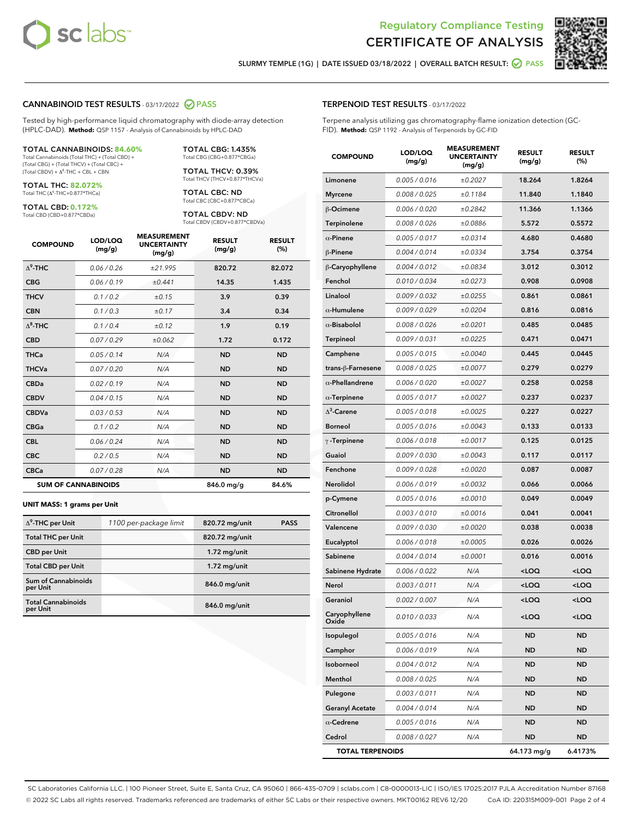



SLURMY TEMPLE (1G) | DATE ISSUED 03/18/2022 | OVERALL BATCH RESULT: @ PASS

#### CANNABINOID TEST RESULTS - 03/17/2022 2 PASS

Tested by high-performance liquid chromatography with diode-array detection (HPLC-DAD). **Method:** QSP 1157 - Analysis of Cannabinoids by HPLC-DAD

#### TOTAL CANNABINOIDS: **84.60%**

Total Cannabinoids (Total THC) + (Total CBD) + (Total CBG) + (Total THCV) + (Total CBC) +  $(Total CBDV) +  $\Delta^8$ -THC + CBL + CBN$ 

TOTAL THC: **82.072%** Total THC (Δ<sup>9</sup> -THC+0.877\*THCa)

TOTAL CBD: **0.172%**

Total CBD (CBD+0.877\*CBDa)

TOTAL CBG: 1.435% Total CBG (CBG+0.877\*CBGa)

TOTAL THCV: 0.39% Total THCV (THCV+0.877\*THCVa)

TOTAL CBC: ND Total CBC (CBC+0.877\*CBCa)

TOTAL CBDV: ND Total CBDV (CBDV+0.877\*CBDVa)

| <b>COMPOUND</b>  | LOD/LOQ<br>(mg/g)          | <b>MEASUREMENT</b><br><b>UNCERTAINTY</b><br>(mg/g) | <b>RESULT</b><br>(mg/g) | <b>RESULT</b><br>(%) |
|------------------|----------------------------|----------------------------------------------------|-------------------------|----------------------|
| $\Lambda^9$ -THC | 0.06/0.26                  | ±21.995                                            | 820.72                  | 82.072               |
| <b>CBG</b>       | 0.06 / 0.19                | ±0.441                                             | 14.35                   | 1.435                |
| <b>THCV</b>      | 0.1 / 0.2                  | ±0.15                                              | 3.9                     | 0.39                 |
| <b>CBN</b>       | 0.1/0.3                    | ±0.17                                              | 3.4                     | 0.34                 |
| $\Delta^8$ -THC  | 0.1 / 0.4                  | ±0.12                                              | 1.9                     | 0.19                 |
| <b>CBD</b>       | 0.07/0.29                  | ±0.062                                             | 1.72                    | 0.172                |
| <b>THCa</b>      | 0.05/0.14                  | N/A                                                | <b>ND</b>               | <b>ND</b>            |
| <b>THCVa</b>     | 0.07/0.20                  | N/A                                                | <b>ND</b>               | <b>ND</b>            |
| <b>CBDa</b>      | 0.02/0.19                  | N/A                                                | <b>ND</b>               | <b>ND</b>            |
| <b>CBDV</b>      | 0.04 / 0.15                | N/A                                                | <b>ND</b>               | <b>ND</b>            |
| <b>CBDVa</b>     | 0.03 / 0.53                | N/A                                                | <b>ND</b>               | <b>ND</b>            |
| <b>CBGa</b>      | 0.1 / 0.2                  | N/A                                                | <b>ND</b>               | <b>ND</b>            |
| <b>CBL</b>       | 0.06 / 0.24                | N/A                                                | <b>ND</b>               | <b>ND</b>            |
| <b>CBC</b>       | 0.2 / 0.5                  | N/A                                                | <b>ND</b>               | <b>ND</b>            |
| <b>CBCa</b>      | 0.07/0.28                  | N/A                                                | <b>ND</b>               | <b>ND</b>            |
|                  | <b>SUM OF CANNABINOIDS</b> |                                                    | 846.0 mg/g              | 84.6%                |

#### **UNIT MASS: 1 grams per Unit**

| $\Delta^9$ -THC per Unit              | 1100 per-package limit | 820.72 mg/unit | <b>PASS</b> |
|---------------------------------------|------------------------|----------------|-------------|
| <b>Total THC per Unit</b>             |                        | 820.72 mg/unit |             |
| <b>CBD</b> per Unit                   |                        | $1.72$ mg/unit |             |
| <b>Total CBD per Unit</b>             |                        | $1.72$ mg/unit |             |
| Sum of Cannabinoids<br>per Unit       |                        | 846.0 mg/unit  |             |
| <b>Total Cannabinoids</b><br>per Unit |                        | 846.0 mg/unit  |             |

| <b>COMPOUND</b>         | LOD/LOQ<br>(mg/g) | <b>MEASUREMENT</b><br><b>UNCERTAINTY</b><br>(mg/g) | <b>RESULT</b><br>(mg/g)                         | <b>RESULT</b><br>(%) |
|-------------------------|-------------------|----------------------------------------------------|-------------------------------------------------|----------------------|
| Limonene                | 0.005 / 0.016     | ±0.2027                                            | 18.264                                          | 1.8264               |
| <b>Myrcene</b>          | 0.008 / 0.025     | ±0.1184                                            | 11.840                                          | 1.1840               |
| β-Ocimene               | 0.006 / 0.020     | ±0.2842                                            | 11.366                                          | 1.1366               |
| Terpinolene             | 0.008 / 0.026     | ±0.0886                                            | 5.572                                           | 0.5572               |
| $\alpha$ -Pinene        | 0.005 / 0.017     | ±0.0314                                            | 4.680                                           | 0.4680               |
| β-Pinene                | 0.004 / 0.014     | ±0.0334                                            | 3.754                                           | 0.3754               |
| β-Caryophyllene         | 0.004 / 0.012     | ±0.0834                                            | 3.012                                           | 0.3012               |
| Fenchol                 | 0.010 / 0.034     | ±0.0273                                            | 0.908                                           | 0.0908               |
| Linalool                | 0.009/0.032       | ±0.0255                                            | 0.861                                           | 0.0861               |
| $\alpha$ -Humulene      | 0.009 / 0.029     | ±0.0204                                            | 0.816                                           | 0.0816               |
| $\alpha$ -Bisabolol     | 0.008 / 0.026     | ±0.0201                                            | 0.485                                           | 0.0485               |
| Terpineol               | 0.009 / 0.031     | ±0.0225                                            | 0.471                                           | 0.0471               |
| Camphene                | 0.005 / 0.015     | ±0.0040                                            | 0.445                                           | 0.0445               |
| trans-β-Farnesene       | 0.008 / 0.025     | ±0.0077                                            | 0.279                                           | 0.0279               |
| $\alpha$ -Phellandrene  | 0.006 / 0.020     | ±0.0027                                            | 0.258                                           | 0.0258               |
| $\alpha$ -Terpinene     | 0.005 / 0.017     | ±0.0027                                            | 0.237                                           | 0.0237               |
| $\Delta^3$ -Carene      | 0.005 / 0.018     | ±0.0025                                            | 0.227                                           | 0.0227               |
| <b>Borneol</b>          | 0.005 / 0.016     | ±0.0043                                            | 0.133                                           | 0.0133               |
| $\gamma$ -Terpinene     | 0.006 / 0.018     | ±0.0017                                            | 0.125                                           | 0.0125               |
| Guaiol                  | 0.009 / 0.030     | ±0.0043                                            | 0.117                                           | 0.0117               |
| Fenchone                | 0.009 / 0.028     | ±0.0020                                            | 0.087                                           | 0.0087               |
| Nerolidol               | 0.006 / 0.019     | ±0.0032                                            | 0.066                                           | 0.0066               |
| p-Cymene                | 0.005 / 0.016     | ±0.0010                                            | 0.049                                           | 0.0049               |
| Citronellol             | 0.003 / 0.010     | ±0.0016                                            | 0.041                                           | 0.0041               |
| Valencene               | 0.009 / 0.030     | ±0.0020                                            | 0.038                                           | 0.0038               |
| Eucalyptol              | 0.006 / 0.018     | ±0.0005                                            | 0.026                                           | 0.0026               |
| Sabinene                | 0.004 / 0.014     | ±0.0001                                            | 0.016                                           | 0.0016               |
| Sabinene Hydrate        | 0.006 / 0.022     | N/A                                                | <loq< th=""><th><loq< th=""></loq<></th></loq<> | <loq< th=""></loq<>  |
| Nerol                   | 0.003 / 0.011     | N/A                                                | <loq< th=""><th><loq< th=""></loq<></th></loq<> | <loq< th=""></loq<>  |
| Geraniol                | 0.002 / 0.007     | N/A                                                | <loq< th=""><th><loq< th=""></loq<></th></loq<> | <loq< th=""></loq<>  |
| Caryophyllene<br>Oxide  | 0.010 / 0.033     | N/A                                                | <loq< th=""><th><loq< th=""></loq<></th></loq<> | <loq< th=""></loq<>  |
| Isopulegol              | 0.005 / 0.016     | N/A                                                | ND                                              | ND                   |
| Camphor                 | 0.006 / 0.019     | N/A                                                | ND                                              | ND                   |
| Isoborneol              | 0.004 / 0.012     | N/A                                                | ND                                              | ND                   |
| Menthol                 | 0.008 / 0.025     | N/A                                                | ND                                              | ND                   |
| Pulegone                | 0.003 / 0.011     | N/A                                                | ND                                              | ND                   |
| <b>Geranyl Acetate</b>  | 0.004 / 0.014     | N/A                                                | ND                                              | ND                   |
| $\alpha$ -Cedrene       | 0.005 / 0.016     | N/A                                                | ND                                              | ND                   |
| Cedrol                  | 0.008 / 0.027     | N/A                                                | ND                                              | ND                   |
| <b>TOTAL TERPENOIDS</b> |                   |                                                    | 64.173 mg/g                                     | 6.4173%              |

SC Laboratories California LLC. | 100 Pioneer Street, Suite E, Santa Cruz, CA 95060 | 866-435-0709 | sclabs.com | C8-0000013-LIC | ISO/IES 17025:2017 PJLA Accreditation Number 87168 © 2022 SC Labs all rights reserved. Trademarks referenced are trademarks of either SC Labs or their respective owners. MKT00162 REV6 12/20 CoA ID: 220315M009-001 Page 2 of 4

# TERPENOID TEST RESULTS - 03/17/2022

Terpene analysis utilizing gas chromatography-flame ionization detection (GC-FID). **Method:** QSP 1192 - Analysis of Terpenoids by GC-FID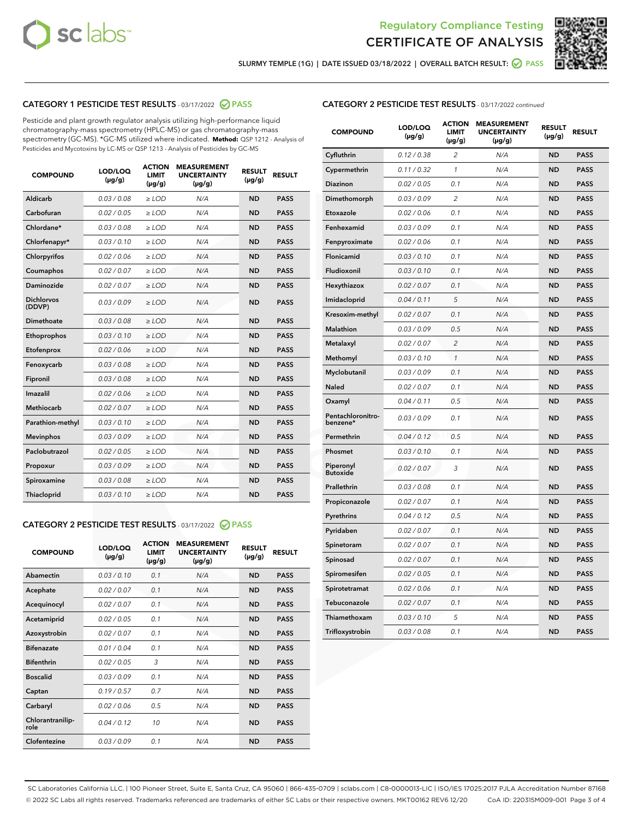



SLURMY TEMPLE (1G) | DATE ISSUED 03/18/2022 | OVERALL BATCH RESULT: @ PASS

# CATEGORY 1 PESTICIDE TEST RESULTS - 03/17/2022 2 PASS

Pesticide and plant growth regulator analysis utilizing high-performance liquid chromatography-mass spectrometry (HPLC-MS) or gas chromatography-mass spectrometry (GC-MS). \*GC-MS utilized where indicated. **Method:** QSP 1212 - Analysis of Pesticides and Mycotoxins by LC-MS or QSP 1213 - Analysis of Pesticides by GC-MS

| <b>COMPOUND</b>             | LOD/LOQ<br>$(\mu g/g)$ | <b>ACTION</b><br>LIMIT<br>$(\mu g/g)$ | <b>MEASUREMENT</b><br><b>UNCERTAINTY</b><br>$(\mu g/g)$ | <b>RESULT</b><br>$(\mu g/g)$ | <b>RESULT</b> |
|-----------------------------|------------------------|---------------------------------------|---------------------------------------------------------|------------------------------|---------------|
| <b>Aldicarb</b>             | 0.03 / 0.08            | $\geq$ LOD                            | N/A                                                     | <b>ND</b>                    | <b>PASS</b>   |
| Carbofuran                  | 0.02 / 0.05            | $\ge$ LOD                             | N/A                                                     | <b>ND</b>                    | <b>PASS</b>   |
| Chlordane*                  | 0.03/0.08              | $>$ LOD                               | N/A                                                     | <b>ND</b>                    | <b>PASS</b>   |
| Chlorfenapyr*               | 0.03/0.10              | $>$ LOD                               | N/A                                                     | <b>ND</b>                    | <b>PASS</b>   |
| Chlorpyrifos                | 0.02 / 0.06            | $>$ LOD                               | N/A                                                     | <b>ND</b>                    | <b>PASS</b>   |
| Coumaphos                   | 0.02 / 0.07            | $\geq$ LOD                            | N/A                                                     | <b>ND</b>                    | <b>PASS</b>   |
| <b>Daminozide</b>           | 0.02 / 0.07            | $\ge$ LOD                             | N/A                                                     | <b>ND</b>                    | <b>PASS</b>   |
| <b>Dichlorvos</b><br>(DDVP) | 0.03/0.09              | $\geq$ LOD                            | N/A                                                     | <b>ND</b>                    | <b>PASS</b>   |
| Dimethoate                  | 0.03 / 0.08            | $>$ LOD                               | N/A                                                     | <b>ND</b>                    | <b>PASS</b>   |
| Ethoprophos                 | 0.03/0.10              | $\geq$ LOD                            | N/A                                                     | <b>ND</b>                    | <b>PASS</b>   |
| Etofenprox                  | 0.02 / 0.06            | > LOD                                 | N/A                                                     | <b>ND</b>                    | <b>PASS</b>   |
| Fenoxycarb                  | 0.03 / 0.08            | $\geq$ LOD                            | N/A                                                     | <b>ND</b>                    | <b>PASS</b>   |
| Fipronil                    | 0.03 / 0.08            | $\ge$ LOD                             | N/A                                                     | <b>ND</b>                    | <b>PASS</b>   |
| Imazalil                    | 0.02 / 0.06            | $\ge$ LOD                             | N/A                                                     | <b>ND</b>                    | <b>PASS</b>   |
| <b>Methiocarb</b>           | 0.02 / 0.07            | $\ge$ LOD                             | N/A                                                     | <b>ND</b>                    | <b>PASS</b>   |
| Parathion-methyl            | 0.03/0.10              | > LOD                                 | N/A                                                     | <b>ND</b>                    | <b>PASS</b>   |
| <b>Mevinphos</b>            | 0.03/0.09              | $\ge$ LOD                             | N/A                                                     | <b>ND</b>                    | <b>PASS</b>   |
| Paclobutrazol               | 0.02 / 0.05            | $\ge$ LOD                             | N/A                                                     | <b>ND</b>                    | <b>PASS</b>   |
| Propoxur                    | 0.03 / 0.09            | $\geq$ LOD                            | N/A                                                     | <b>ND</b>                    | <b>PASS</b>   |
| Spiroxamine                 | 0.03 / 0.08            | $\ge$ LOD                             | N/A                                                     | <b>ND</b>                    | <b>PASS</b>   |
| Thiacloprid                 | 0.03/0.10              | $>$ LOD                               | N/A                                                     | <b>ND</b>                    | <b>PASS</b>   |

# CATEGORY 2 PESTICIDE TEST RESULTS - 03/17/2022 @ PASS

| <b>COMPOUND</b>          | LOD/LOQ<br>$(\mu g/g)$ | <b>ACTION</b><br><b>LIMIT</b><br>$(\mu g/g)$ | <b>MEASUREMENT</b><br><b>UNCERTAINTY</b><br>$(\mu g/g)$ | <b>RESULT</b><br>$(\mu g/g)$ | <b>RESULT</b> |
|--------------------------|------------------------|----------------------------------------------|---------------------------------------------------------|------------------------------|---------------|
| Abamectin                | 0.03/0.10              | 0.1                                          | N/A                                                     | <b>ND</b>                    | <b>PASS</b>   |
| Acephate                 | 0.02/0.07              | 0.1                                          | N/A                                                     | <b>ND</b>                    | <b>PASS</b>   |
| Acequinocyl              | 0.02/0.07              | 0.1                                          | N/A                                                     | <b>ND</b>                    | <b>PASS</b>   |
| Acetamiprid              | 0.02/0.05              | 0.1                                          | N/A                                                     | <b>ND</b>                    | <b>PASS</b>   |
| Azoxystrobin             | 0.02 / 0.07            | 0.1                                          | N/A                                                     | <b>ND</b>                    | <b>PASS</b>   |
| <b>Bifenazate</b>        | 0.01/0.04              | 0.1                                          | N/A                                                     | <b>ND</b>                    | <b>PASS</b>   |
| <b>Bifenthrin</b>        | 0.02 / 0.05            | 3                                            | N/A                                                     | <b>ND</b>                    | <b>PASS</b>   |
| <b>Boscalid</b>          | 0.03/0.09              | 0.1                                          | N/A                                                     | <b>ND</b>                    | <b>PASS</b>   |
| Captan                   | 0.19/0.57              | 0.7                                          | N/A                                                     | <b>ND</b>                    | <b>PASS</b>   |
| Carbaryl                 | 0.02/0.06              | 0.5                                          | N/A                                                     | <b>ND</b>                    | <b>PASS</b>   |
| Chlorantranilip-<br>role | 0.04/0.12              | 10                                           | N/A                                                     | <b>ND</b>                    | <b>PASS</b>   |
| Clofentezine             | 0.03/0.09              | 0.1                                          | N/A                                                     | <b>ND</b>                    | <b>PASS</b>   |

# CATEGORY 2 PESTICIDE TEST RESULTS - 03/17/2022 continued

| <b>COMPOUND</b>               | LOD/LOQ<br>(µg/g) | <b>ACTION</b><br><b>LIMIT</b><br>(µg/g) | <b>MEASUREMENT</b><br><b>UNCERTAINTY</b><br>$(\mu g/g)$ | <b>RESULT</b><br>(µg/g) | <b>RESULT</b> |
|-------------------------------|-------------------|-----------------------------------------|---------------------------------------------------------|-------------------------|---------------|
| Cyfluthrin                    | 0.12 / 0.38       | $\overline{c}$                          | N/A                                                     | <b>ND</b>               | <b>PASS</b>   |
| Cypermethrin                  | 0.11 / 0.32       | $\mathcal{I}$                           | N/A                                                     | <b>ND</b>               | <b>PASS</b>   |
| <b>Diazinon</b>               | 0.02 / 0.05       | 0.1                                     | N/A                                                     | <b>ND</b>               | <b>PASS</b>   |
| Dimethomorph                  | 0.03 / 0.09       | 2                                       | N/A                                                     | <b>ND</b>               | <b>PASS</b>   |
| Etoxazole                     | 0.02 / 0.06       | 0.1                                     | N/A                                                     | <b>ND</b>               | <b>PASS</b>   |
| Fenhexamid                    | 0.03 / 0.09       | 0.1                                     | N/A                                                     | <b>ND</b>               | <b>PASS</b>   |
| Fenpyroximate                 | 0.02 / 0.06       | 0.1                                     | N/A                                                     | <b>ND</b>               | <b>PASS</b>   |
| Flonicamid                    | 0.03 / 0.10       | 0.1                                     | N/A                                                     | <b>ND</b>               | <b>PASS</b>   |
| Fludioxonil                   | 0.03 / 0.10       | 0.1                                     | N/A                                                     | <b>ND</b>               | <b>PASS</b>   |
| Hexythiazox                   | 0.02 / 0.07       | 0.1                                     | N/A                                                     | <b>ND</b>               | <b>PASS</b>   |
| Imidacloprid                  | 0.04 / 0.11       | 5                                       | N/A                                                     | <b>ND</b>               | <b>PASS</b>   |
| Kresoxim-methyl               | 0.02 / 0.07       | 0.1                                     | N/A                                                     | <b>ND</b>               | <b>PASS</b>   |
| <b>Malathion</b>              | 0.03 / 0.09       | 0.5                                     | N/A                                                     | <b>ND</b>               | <b>PASS</b>   |
| Metalaxyl                     | 0.02 / 0.07       | $\overline{c}$                          | N/A                                                     | <b>ND</b>               | <b>PASS</b>   |
| Methomyl                      | 0.03 / 0.10       | 1                                       | N/A                                                     | <b>ND</b>               | <b>PASS</b>   |
| Myclobutanil                  | 0.03 / 0.09       | 0.1                                     | N/A                                                     | <b>ND</b>               | <b>PASS</b>   |
| Naled                         | 0.02 / 0.07       | 0.1                                     | N/A                                                     | <b>ND</b>               | <b>PASS</b>   |
| Oxamyl                        | 0.04 / 0.11       | 0.5                                     | N/A                                                     | <b>ND</b>               | <b>PASS</b>   |
| Pentachloronitro-<br>benzene* | 0.03 / 0.09       | 0.1                                     | N/A                                                     | <b>ND</b>               | <b>PASS</b>   |
| Permethrin                    | 0.04 / 0.12       | 0.5                                     | N/A                                                     | <b>ND</b>               | <b>PASS</b>   |
| Phosmet                       | 0.03 / 0.10       | 0.1                                     | N/A                                                     | <b>ND</b>               | <b>PASS</b>   |
| Piperonyl<br><b>Butoxide</b>  | 0.02 / 0.07       | 3                                       | N/A                                                     | <b>ND</b>               | <b>PASS</b>   |
| Prallethrin                   | 0.03 / 0.08       | 0.1                                     | N/A                                                     | <b>ND</b>               | <b>PASS</b>   |
| Propiconazole                 | 0.02 / 0.07       | 0.1                                     | N/A                                                     | <b>ND</b>               | <b>PASS</b>   |
| Pyrethrins                    | 0.04 / 0.12       | 0.5                                     | N/A                                                     | <b>ND</b>               | <b>PASS</b>   |
| Pyridaben                     | 0.02 / 0.07       | 0.1                                     | N/A                                                     | <b>ND</b>               | <b>PASS</b>   |
| Spinetoram                    | 0.02 / 0.07       | 0.1                                     | N/A                                                     | <b>ND</b>               | <b>PASS</b>   |
| Spinosad                      | 0.02 / 0.07       | 0.1                                     | N/A                                                     | <b>ND</b>               | <b>PASS</b>   |
| Spiromesifen                  | 0.02 / 0.05       | 0.1                                     | N/A                                                     | <b>ND</b>               | <b>PASS</b>   |
| Spirotetramat                 | 0.02 / 0.06       | 0.1                                     | N/A                                                     | <b>ND</b>               | <b>PASS</b>   |
| Tebuconazole                  | 0.02 / 0.07       | 0.1                                     | N/A                                                     | <b>ND</b>               | <b>PASS</b>   |
| Thiamethoxam                  | 0.03 / 0.10       | 5                                       | N/A                                                     | <b>ND</b>               | <b>PASS</b>   |
| Trifloxystrobin               | 0.03 / 0.08       | 0.1                                     | N/A                                                     | <b>ND</b>               | <b>PASS</b>   |

SC Laboratories California LLC. | 100 Pioneer Street, Suite E, Santa Cruz, CA 95060 | 866-435-0709 | sclabs.com | C8-0000013-LIC | ISO/IES 17025:2017 PJLA Accreditation Number 87168 © 2022 SC Labs all rights reserved. Trademarks referenced are trademarks of either SC Labs or their respective owners. MKT00162 REV6 12/20 CoA ID: 220315M009-001 Page 3 of 4